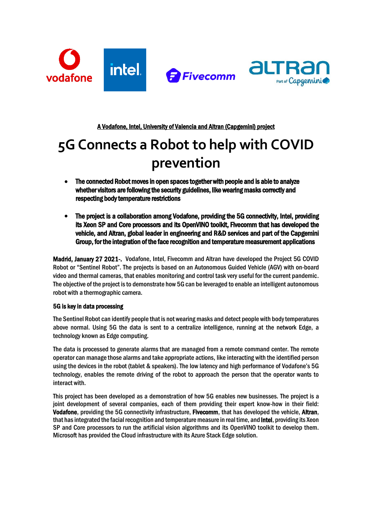

# A Vodafone, Intel, University of Valencia and Altran (Capgemini) project

# **5G Connects a Robot to help with COVID prevention**

- The connected Robot moves in open spaces together with people and is able to analyze whether visitors are following the security guidelines, like wearing masks correctly and respecting body temperature restrictions
- The project is a collaboration among Vodafone, providing the 5G connectivity, Intel, providing its Xeon SP and Core processors and its OpenVINO toolkit, Fivecomm that has developed the vehicle, and Altran, global leader in engineering and R&D services and part of the Capgemini Group, for the integration of the face recognition and temperature measurement applications

Madrid, January 27 2021-. Vodafone, Intel, Fivecomm and Altran have developed the Project 5G COVID Robot or "Sentinel Robot". The projects is based on an Autonomous Guided Vehicle (AGV) with on-board video and thermal cameras, that enables monitoring and control task very useful for the current pandemic. The objective of the project is to demonstrate how 5G can be leveraged to enable an intelligent autonomous robot with a thermographic camera.

## 5G is key in data processing

The Sentinel Robot can identify people that is not wearing masks and detect people with body temperatures above normal. Using 5G the data is sent to a centralize intelligence, running at the network Edge, a technology known as Edge computing.

The data is processed to generate alarms that are managed from a remote command center. The remote operator can manage those alarms and take appropriate actions, like interacting with the identified person using the devices in the robot (tablet & speakers). The low latency and high performance of Vodafone's 5G technology, enables the remote driving of the robot to approach the person that the operator wants to interact with.

This project has been developed as a demonstration of how 5G enables new businesses. The project is a joint development of several companies, each of them providing their expert know-how in their field: Vodafone, providing the 5G connectivity infrastructure, Fivecomm, that has developed the vehicle, Altran, that has integrated the facial recognition and temperature measure in real time, and Intel, providing its Xeon SP and Core processors to run the artificial vision algorithms and its OpenVINO toolkit to develop them. Microsoft has provided the Cloud infrastructure with its Azure Stack Edge solution.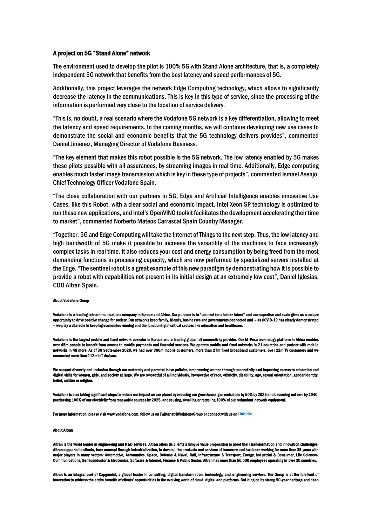## A project on 5G "Stand Alone" network

The environment used to develop the pilot is 100% 5G with Stand Alone architecture, that is, a completely independent 5G network that benefits from the best latency and speed performances of 5G.

Additionally, this project leverages the network Edge Computing technology, which allows to significantly decrease the latency in the communications. This is key in this type of service, since the processing of the information is performed very close to the location of service delivery.

"This is, no doubt, a real scenario where the Vodafone 5G network is a key differentiation, allowing to meet the latency and speed requirements. In the coming months, we will continue developing new use cases to demonstrate the social and economic benefits that the 5G technology delivers provides", commented Daniel Jimenez, Managing Director of Vodafone Business.

"The key element that makes this robot possible is the 5G network. The low latency enabled by 5G makes these pilots possible with all assurances, by streaming images in real time. Additionally, Edge computing enables much faster image transmission which is key in these type of projects", commented Ismael Asenjo, Chief Technology Officer Vodafone Spain.

"The close collaboration with our partners in 5G, Edge and Artificial Intelligence enables innovative Use Cases, like this Robot, with a clear social and economic impact. Intel Xeon SP technology is optimized to run these new applications, and Intel's OpenVINO toolkit facilitates the development accelerating their time to market", commented Norberto Mateos Carrascal Spain Country Manager.

"Together, 5G and Edge Computing will take the Internet of Things to the next step. Thus, the low latency and high bandwidth of 5G make it possible to increase the versatility of the machines to face increasingly complex tasks in real time. It also reduces your cost and energy consumption by being freed from the most demanding functions in processing capacity, which are now performed by specialized servers installed at the Edge."The sentinel robot is a great example of this new paradigm by demonstrating how it is possible to provide a robot with capabilities not present in its initial design at an extremely low cost", Daniel Iglesias, COO Altran Spain.

### About Vodafone Group

Vodafone is a leading telecommunications company in Europe and Africa. Our purpose is to "connect for a better future" and our expertise and scale gives us a unique opportunity to drive positive change for society. Our networks keep family, friends, businesses and governments connected and – as COVID-19 has clearly demonstrated – we play a vital role in keeping economies running and the functioning of critical sectors like education and healthcare.

Vodafone is the largest mobile and fixed network operator in Europe and a leading global IoT connectivity provider. Our M-Pesa technology platform in Africa enables over 45m people to benefit from access to mobile payments and financial services. We operate mobile and fixed networks in 21 countries and partner with mobile networks in 48 more. As of 30 September 2020, we had over 300m mobile customers, more than 27m fixed broadband customers, ove r 22m TV customers and we connected more than 112m IoT devices.

We support diversity and inclusion through our maternity and parental leave policies, empowering women through connectivity and improving access to education and digital skills for women, girls, and society at large. We are respectful of all individuals, irrespective of race, ethnicity, disability, age, sexual orientation, gender identity, belief, culture or religion.

Vodafone is also taking significant steps to reduce our impact on our planet by reducing our greenhouse gas emissions by 50% by 2025 and becoming net zero by 2040, purchasing 100% of our electricity from renewable sources by 2025, and reusing, reselling or recycling 100% of our redundant network equipment.

For more information, please visi[t www.vodafone.com,](http://www.vodafone.com/) follow us on Twitter at @VodafoneGroup or connect with us on LinkedIn

#### About Altran

Altran is the world leader in engineering and R&D services. Altran offers its clients a unique value proposition to meet their transformation and innovation cha Altran supports its clients, from concept through industrialization, to develop the products and services of tomorrow and has been working for more than 35 years with major players in many sectors: Automotive, Aeronautics, Space, Defense & Naval, Rail, Infrastructure & Transport, Energy, Industrial & Consumer, Life Sciences, Communications, Semiconductor & Electronics, Software & Internet, Finance & Public Sector. Altran has more than 50,000 employees operating in over 30 countries.

Altran is an integral part of Capgemini, a global leader in consulting, digital transformation, technology, and engineering services. The Group is at the forefront of innovation to address the entire breadth of clients' opportunities in the evolving world of cloud, digital and platforms. Bui lding on its strong 50-year heritage and deep